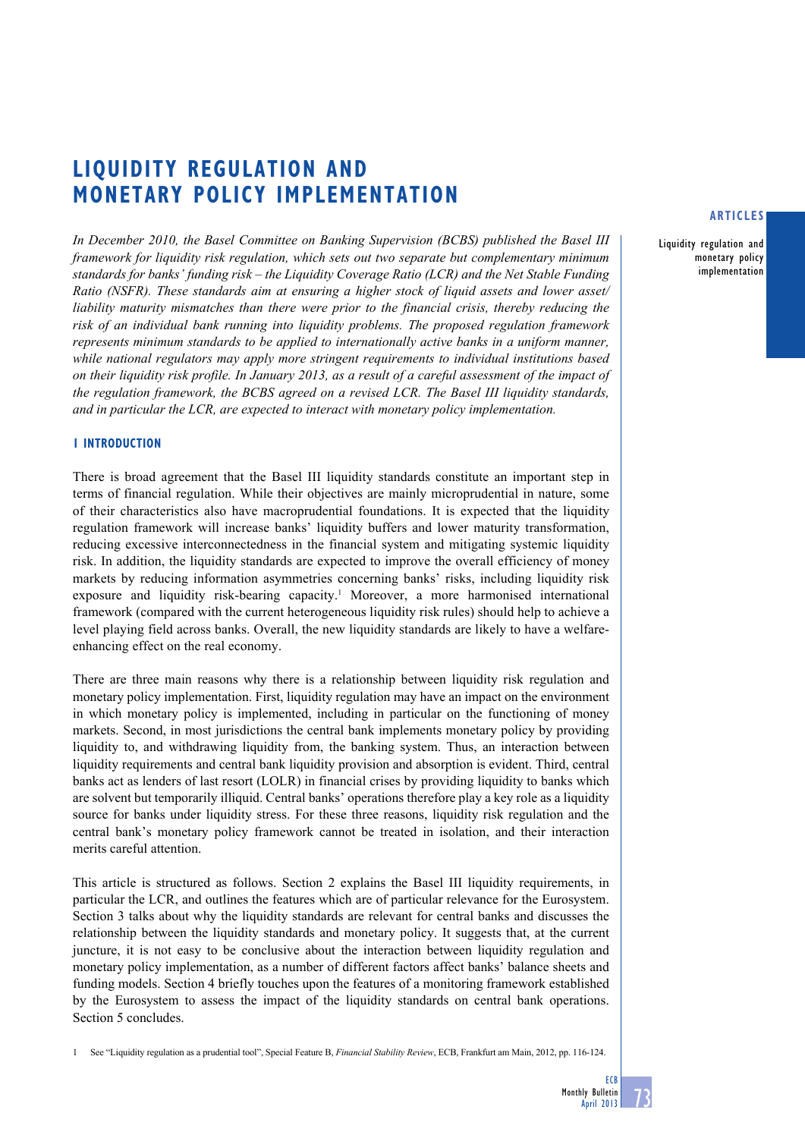# **Liquidity regulation and monetary policy implementation**

*In December 2010, the Basel Committee on Banking Supervision (BCBS) published the Basel III framework for liquidity risk regulation, which sets out two separate but complementary minimum standards for banks' funding risk – the Liquidity Coverage Ratio (LCR) and the Net Stable Funding Ratio (NSFR). These standards aim at ensuring a higher stock of liquid assets and lower asset/* liability maturity mismatches than there were prior to the financial crisis, thereby reducing the *risk of an individual bank running into liquidity problems. The proposed regulation framework represents minimum standards to be applied to internationally active banks in a uniform manner, while national regulators may apply more stringent requirements to individual institutions based on their liquidity risk profile. In January 2013, as a result of a careful assessment of the impact of the regulation framework, the BCBS agreed on a revised LCR. The Basel III liquidity standards, and in particular the LCR, are expected to interact with monetary policy implementation.* 

# **1 INTRODUCTION**

There is broad agreement that the Basel III liquidity standards constitute an important step in terms of financial regulation. While their objectives are mainly microprudential in nature, some of their characteristics also have macroprudential foundations. It is expected that the liquidity regulation framework will increase banks' liquidity buffers and lower maturity transformation, reducing excessive interconnectedness in the financial system and mitigating systemic liquidity risk. In addition, the liquidity standards are expected to improve the overall efficiency of money markets by reducing information asymmetries concerning banks' risks, including liquidity risk exposure and liquidity risk-bearing capacity.<sup>1</sup> Moreover, a more harmonised international framework (compared with the current heterogeneous liquidity risk rules) should help to achieve a level playing field across banks. Overall, the new liquidity standards are likely to have a welfareenhancing effect on the real economy.

There are three main reasons why there is a relationship between liquidity risk regulation and monetary policy implementation. First, liquidity regulation may have an impact on the environment in which monetary policy is implemented, including in particular on the functioning of money markets. Second, in most jurisdictions the central bank implements monetary policy by providing liquidity to, and withdrawing liquidity from, the banking system. Thus, an interaction between liquidity requirements and central bank liquidity provision and absorption is evident. Third, central banks act as lenders of last resort (LOLR) in financial crises by providing liquidity to banks which are solvent but temporarily illiquid. Central banks' operations therefore play a key role as a liquidity source for banks under liquidity stress. For these three reasons, liquidity risk regulation and the central bank's monetary policy framework cannot be treated in isolation, and their interaction merits careful attention.

This article is structured as follows. Section 2 explains the Basel III liquidity requirements, in particular the LCR, and outlines the features which are of particular relevance for the Eurosystem. Section 3 talks about why the liquidity standards are relevant for central banks and discusses the relationship between the liquidity standards and monetary policy. It suggests that, at the current juncture, it is not easy to be conclusive about the interaction between liquidity regulation and monetary policy implementation, as a number of different factors affect banks' balance sheets and funding models. Section 4 briefly touches upon the features of a monitoring framework established by the Eurosystem to assess the impact of the liquidity standards on central bank operations. Section 5 concludes.

1 See "Liquidity regulation as a prudential tool", Special Feature B, *Financial Stability Review*, ECB, Frankfurt am Main, 2012, pp. 116-124.

# **articles**

Liquidity regulation and monetary policy implementation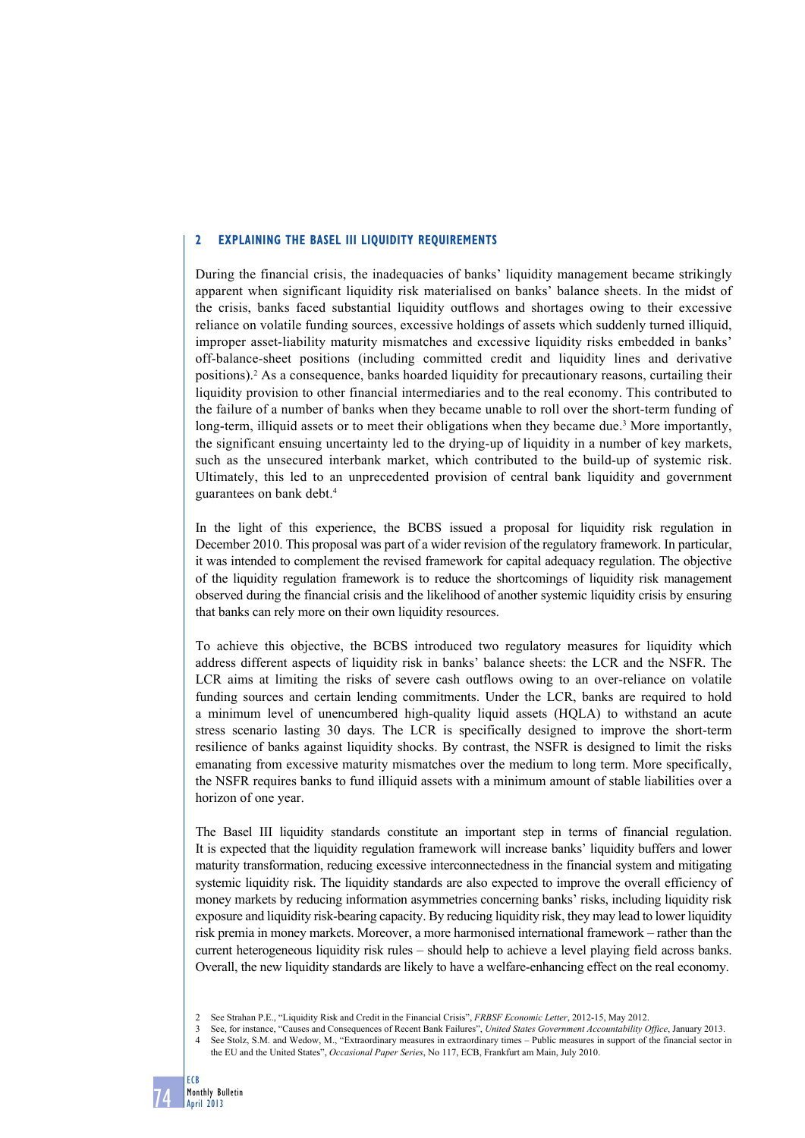#### **2 Explaining the Basel III liquidity requirements**

During the financial crisis, the inadequacies of banks' liquidity management became strikingly apparent when significant liquidity risk materialised on banks' balance sheets. In the midst of the crisis, banks faced substantial liquidity outflows and shortages owing to their excessive reliance on volatile funding sources, excessive holdings of assets which suddenly turned illiquid, improper asset-liability maturity mismatches and excessive liquidity risks embedded in banks' off-balance-sheet positions (including committed credit and liquidity lines and derivative positions).2 As a consequence, banks hoarded liquidity for precautionary reasons, curtailing their liquidity provision to other financial intermediaries and to the real economy. This contributed to the failure of a number of banks when they became unable to roll over the short-term funding of long-term, illiquid assets or to meet their obligations when they became due.<sup>3</sup> More importantly, the significant ensuing uncertainty led to the drying-up of liquidity in a number of key markets, such as the unsecured interbank market, which contributed to the build-up of systemic risk. Ultimately, this led to an unprecedented provision of central bank liquidity and government guarantees on bank debt.4

In the light of this experience, the BCBS issued a proposal for liquidity risk regulation in December 2010. This proposal was part of a wider revision of the regulatory framework. In particular, it was intended to complement the revised framework for capital adequacy regulation. The objective of the liquidity regulation framework is to reduce the shortcomings of liquidity risk management observed during the financial crisis and the likelihood of another systemic liquidity crisis by ensuring that banks can rely more on their own liquidity resources.

To achieve this objective, the BCBS introduced two regulatory measures for liquidity which address different aspects of liquidity risk in banks' balance sheets: the LCR and the NSFR. The LCR aims at limiting the risks of severe cash outflows owing to an over-reliance on volatile funding sources and certain lending commitments. Under the LCR, banks are required to hold a minimum level of unencumbered high-quality liquid assets (HQLA) to withstand an acute stress scenario lasting 30 days. The LCR is specifically designed to improve the short-term resilience of banks against liquidity shocks. By contrast, the NSFR is designed to limit the risks emanating from excessive maturity mismatches over the medium to long term. More specifically, the NSFR requires banks to fund illiquid assets with a minimum amount of stable liabilities over a horizon of one year.

The Basel III liquidity standards constitute an important step in terms of financial regulation. It is expected that the liquidity regulation framework will increase banks' liquidity buffers and lower maturity transformation, reducing excessive interconnectedness in the financial system and mitigating systemic liquidity risk. The liquidity standards are also expected to improve the overall efficiency of money markets by reducing information asymmetries concerning banks' risks, including liquidity risk exposure and liquidity risk-bearing capacity. By reducing liquidity risk, they may lead to lower liquidity risk premia in money markets. Moreover, a more harmonised international framework – rather than the current heterogeneous liquidity risk rules – should help to achieve a level playing field across banks. Overall, the new liquidity standards are likely to have a welfare-enhancing effect on the real economy.

<sup>2</sup> See Strahan P.E., "Liquidity Risk and Credit in the Financial Crisis", *FRBSF Economic Letter*, 2012-15, May 2012.

<sup>3</sup> See, for instance, "Causes and Consequences of Recent Bank Failures", *United States Government Accountability Office*, January 2013.

<sup>4</sup> See Stolz, S.M. and Wedow, M., "Extraordinary measures in extraordinary times – Public measures in support of the financial sector in the EU and the United States", *Occasional Paper Series*, No 117, ECB, Frankfurt am Main, July 2010.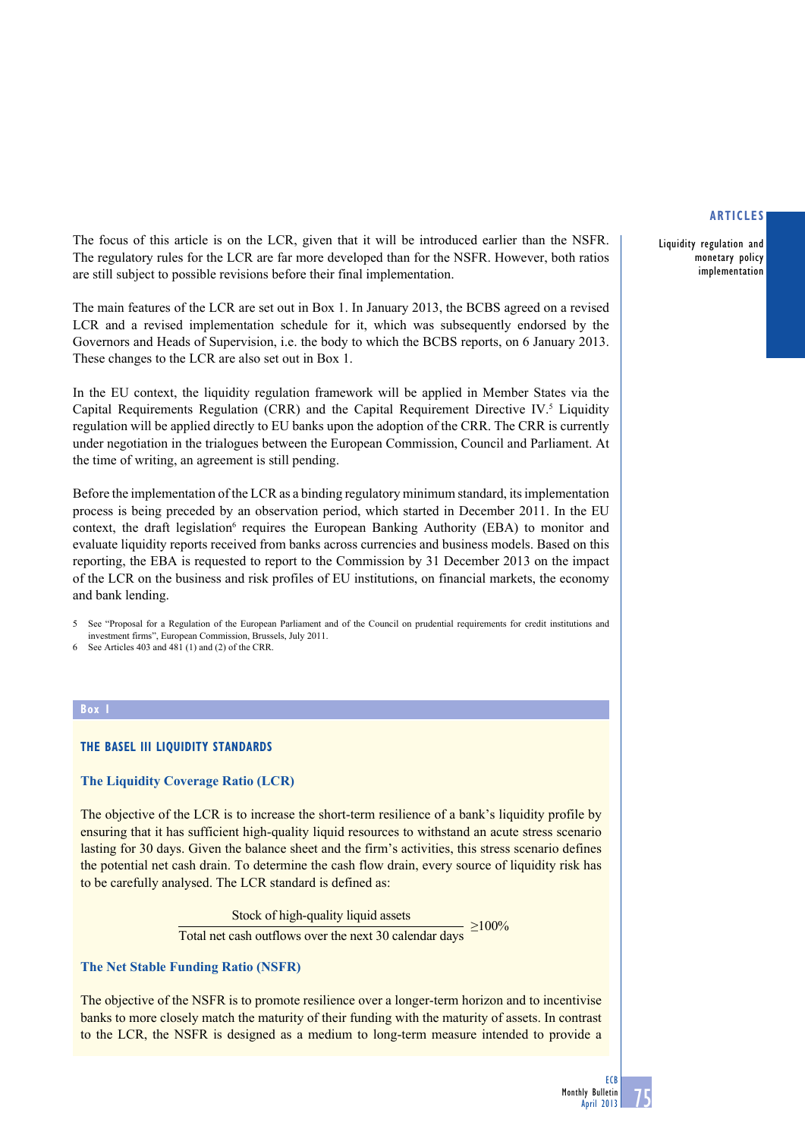Liquidity regulation and monetary policy implementation

The focus of this article is on the LCR, given that it will be introduced earlier than the NSFR. The regulatory rules for the LCR are far more developed than for the NSFR. However, both ratios are still subject to possible revisions before their final implementation.

The main features of the LCR are set out in Box 1. In January 2013, the BCBS agreed on a revised LCR and a revised implementation schedule for it, which was subsequently endorsed by the Governors and Heads of Supervision, i.e. the body to which the BCBS reports, on 6 January 2013. These changes to the LCR are also set out in Box 1.

In the EU context, the liquidity regulation framework will be applied in Member States via the Capital Requirements Regulation (CRR) and the Capital Requirement Directive IV. $^5$  Liquidity regulation will be applied directly to EU banks upon the adoption of the CRR. The CRR is currently under negotiation in the trialogues between the European Commission, Council and Parliament. At the time of writing, an agreement is still pending.

Before the implementation of the LCR as a binding regulatory minimum standard, its implementation process is being preceded by an observation period, which started in December 2011. In the EU context, the draft legislation<sup>6</sup> requires the European Banking Authority (EBA) to monitor and evaluate liquidity reports received from banks across currencies and business models. Based on this reporting, the EBA is requested to report to the Commission by 31 December 2013 on the impact of the LCR on the business and risk profiles of EU institutions, on financial markets, the economy and bank lending.

5 See "Proposal for a Regulation of the European Parliament and of the Council on prudential requirements for credit institutions and investment firms", European Commission, Brussels, July 2011.

See Articles 403 and 481 (1) and (2) of the CRR.

#### **Box 1**

# **The Basel III liquidity standards**

# **The Liquidity Coverage Ratio (LCR)**

The objective of the LCR is to increase the short-term resilience of a bank's liquidity profile by ensuring that it has sufficient high-quality liquid resources to withstand an acute stress scenario lasting for 30 days. Given the balance sheet and the firm's activities, this stress scenario defines the potential net cash drain. To determine the cash flow drain, every source of liquidity risk has to be carefully analysed. The LCR standard is defined as:

> Stock of high-quality liquid assets <br>  $\frac{1}{2}$  >100% Total net cash outflows over the next 30 calendar days

# **The Net Stable Funding Ratio (NSFR)**

The objective of the NSFR is to promote resilience over a longer-term horizon and to incentivise banks to more closely match the maturity of their funding with the maturity of assets. In contrast to the LCR, the NSFR is designed as a medium to long-term measure intended to provide a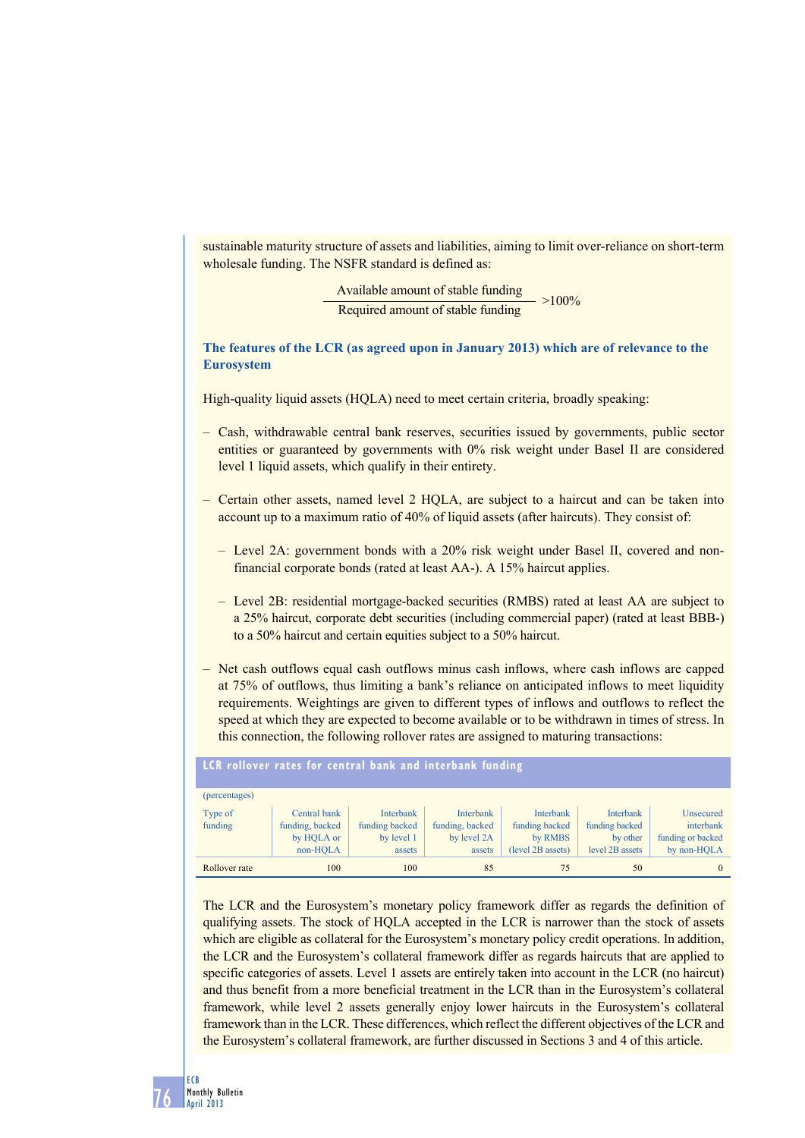sustainable maturity structure of assets and liabilities, aiming to limit over-reliance on short-term wholesale funding. The NSFR standard is defined as:

> Available amount of stable funding  $>100\%$ Required amount of stable funding

**The features of the LCR (as agreed upon in January 2013) which are of relevance to the Eurosystem**

High-quality liquid assets (HQLA) need to meet certain criteria, broadly speaking:

- Cash, withdrawable central bank reserves, securities issued by governments, public sector entities or guaranteed by governments with 0% risk weight under Basel II are considered level 1 liquid assets, which qualify in their entirety.
- Certain other assets, named level 2 HQLA, are subject to a haircut and can be taken into account up to a maximum ratio of 40% of liquid assets (after haircuts). They consist of:
	- Level 2A: government bonds with a 20% risk weight under Basel II, covered and nonfinancial corporate bonds (rated at least AA-). A 15% haircut applies.
	- Level 2B: residential mortgage-backed securities (RMBS) rated at least AA are subject to a 25% haircut, corporate debt securities (including commercial paper) (rated at least BBB-) to a 50% haircut and certain equities subject to a 50% haircut.
- Net cash outflows equal cash outflows minus cash inflows, where cash inflows are capped at 75% of outflows, thus limiting a bank's reliance on anticipated inflows to meet liquidity requirements. Weightings are given to different types of inflows and outflows to reflect the speed at which they are expected to become available or to be withdrawn in times of stress. In this connection, the following rollover rates are assigned to maturing transactions:

| LCR rollover rates for central bank and interbank funding |                                                           |                                                            |                                                       |                                                                    |                                                                   |                                                            |  |  |  |
|-----------------------------------------------------------|-----------------------------------------------------------|------------------------------------------------------------|-------------------------------------------------------|--------------------------------------------------------------------|-------------------------------------------------------------------|------------------------------------------------------------|--|--|--|
| (percentages)                                             |                                                           |                                                            |                                                       |                                                                    |                                                                   |                                                            |  |  |  |
| Type of<br>funding                                        | Central bank<br>funding, backed<br>by HOLA or<br>non-HOLA | <b>Interbank</b><br>funding backed<br>by level 1<br>assets | Interbank<br>funding, backed<br>by level 2A<br>assets | <b>Interbank</b><br>funding backed<br>by RMBS<br>(level 2B assets) | <b>Interbank</b><br>funding backed<br>by other<br>level 2B assets | Unsecured<br>interbank<br>funding or backed<br>by non-HOLA |  |  |  |
| Rollover rate                                             | 100                                                       | 100                                                        | 85                                                    | 75                                                                 | 50                                                                | 0                                                          |  |  |  |

The LCR and the Eurosystem's monetary policy framework differ as regards the definition of qualifying assets. The stock of HQLA accepted in the LCR is narrower than the stock of assets which are eligible as collateral for the Eurosystem's monetary policy credit operations. In addition, the LCR and the Eurosystem's collateral framework differ as regards haircuts that are applied to specific categories of assets. Level 1 assets are entirely taken into account in the LCR (no haircut) and thus benefit from a more beneficial treatment in the LCR than in the Eurosystem's collateral framework, while level 2 assets generally enjoy lower haircuts in the Eurosystem's collateral framework than in the LCR. These differences, which reflect the different objectives of the LCR and the Eurosystem's collateral framework, are further discussed in Sections 3 and 4 of this article.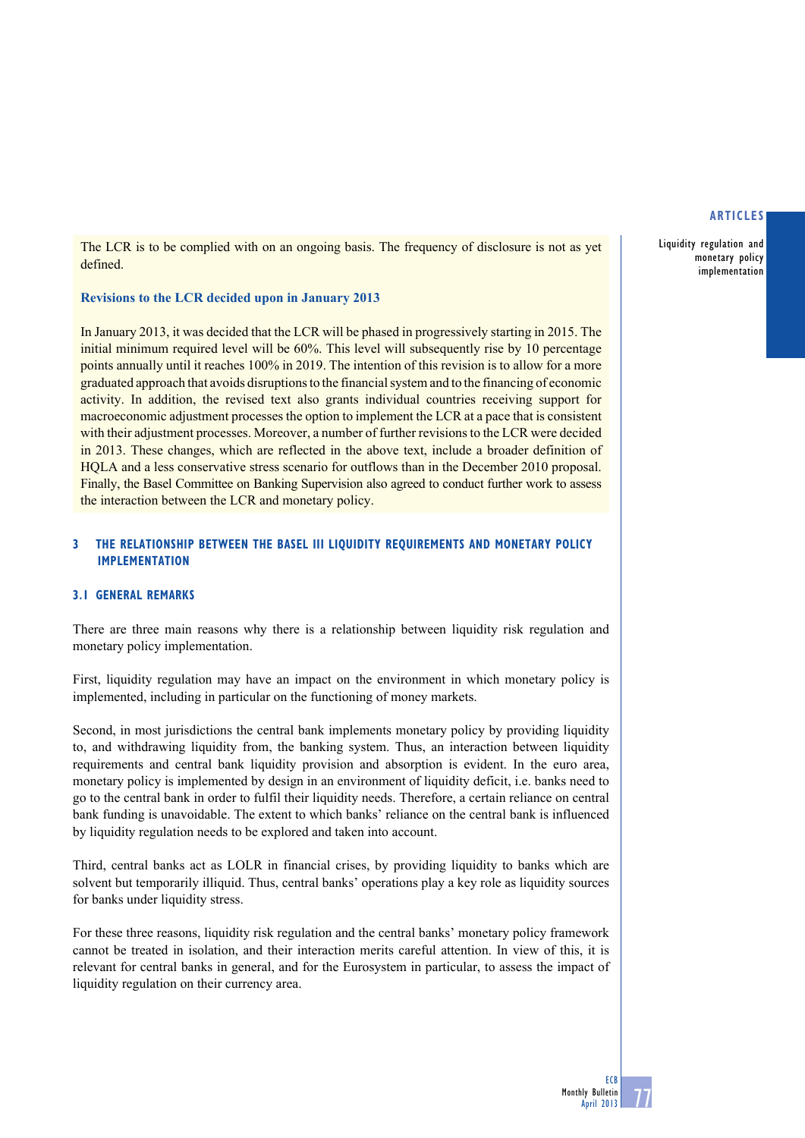Liquidity regulation and monetary policy implementation

The LCR is to be complied with on an ongoing basis. The frequency of disclosure is not as yet defined.

# **Revisions to the LCR decided upon in January 2013**

In January 2013, it was decided that the LCR will be phased in progressively starting in 2015. The initial minimum required level will be 60%. This level will subsequently rise by 10 percentage points annually until it reaches 100% in 2019. The intention of this revision is to allow for a more graduated approach that avoids disruptions to the financial system and to the financing of economic activity. In addition, the revised text also grants individual countries receiving support for macroeconomic adjustment processes the option to implement the LCR at a pace that is consistent with their adjustment processes. Moreover, a number of further revisions to the LCR were decided in 2013. These changes, which are reflected in the above text, include a broader definition of HQLA and a less conservative stress scenario for outflows than in the December 2010 proposal. Finally, the Basel Committee on Banking Supervision also agreed to conduct further work to assess the interaction between the LCR and monetary policy.

# **3 the relationship between the Basel III liquidity requirements and monetary policy implementation**

# **3.1 General remarks**

There are three main reasons why there is a relationship between liquidity risk regulation and monetary policy implementation.

First, liquidity regulation may have an impact on the environment in which monetary policy is implemented, including in particular on the functioning of money markets.

Second, in most jurisdictions the central bank implements monetary policy by providing liquidity to, and withdrawing liquidity from, the banking system. Thus, an interaction between liquidity requirements and central bank liquidity provision and absorption is evident. In the euro area, monetary policy is implemented by design in an environment of liquidity deficit, i.e. banks need to go to the central bank in order to fulfil their liquidity needs. Therefore, a certain reliance on central bank funding is unavoidable. The extent to which banks' reliance on the central bank is influenced by liquidity regulation needs to be explored and taken into account.

Third, central banks act as LOLR in financial crises, by providing liquidity to banks which are solvent but temporarily illiquid. Thus, central banks' operations play a key role as liquidity sources for banks under liquidity stress.

For these three reasons, liquidity risk regulation and the central banks' monetary policy framework cannot be treated in isolation, and their interaction merits careful attention. In view of this, it is relevant for central banks in general, and for the Eurosystem in particular, to assess the impact of liquidity regulation on their currency area.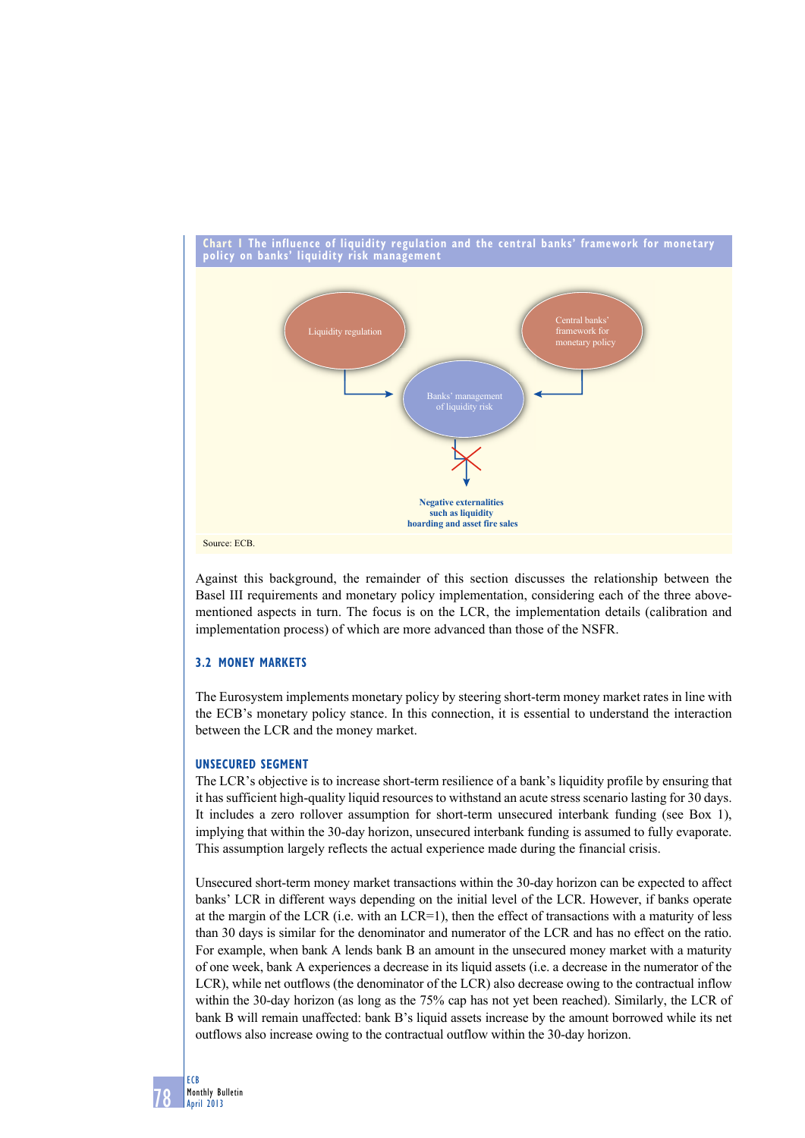

Against this background, the remainder of this section discusses the relationship between the Basel III requirements and monetary policy implementation, considering each of the three abovementioned aspects in turn. The focus is on the LCR, the implementation details (calibration and implementation process) of which are more advanced than those of the NSFR.

# **3.2 money mARKetS**

The Eurosystem implements monetary policy by steering short-term money market rates in line with the ECB's monetary policy stance. In this connection, it is essential to understand the interaction between the LCR and the money market.

# **unSeCuRed SeGment**

The LCR's objective is to increase short-term resilience of a bank's liquidity profile by ensuring that it has sufficient high-quality liquid resources to withstand an acute stress scenario lasting for 30 days. It includes a zero rollover assumption for short-term unsecured interbank funding (see Box 1), implying that within the 30-day horizon, unsecured interbank funding is assumed to fully evaporate. This assumption largely reflects the actual experience made during the financial crisis.

Unsecured short-term money market transactions within the 30-day horizon can be expected to affect banks' LCR in different ways depending on the initial level of the LCR. However, if banks operate at the margin of the LCR (i.e. with an LCR=1), then the effect of transactions with a maturity of less than 30 days is similar for the denominator and numerator of the LCR and has no effect on the ratio. For example, when bank A lends bank B an amount in the unsecured money market with a maturity of one week, bank A experiences a decrease in its liquid assets (i.e. a decrease in the numerator of the LCR), while net outflows (the denominator of the LCR) also decrease owing to the contractual inflow within the 30-day horizon (as long as the 75% cap has not yet been reached). Similarly, the LCR of bank B will remain unaffected: bank B's liquid assets increase by the amount borrowed while its net outflows also increase owing to the contractual outflow within the 30-day horizon.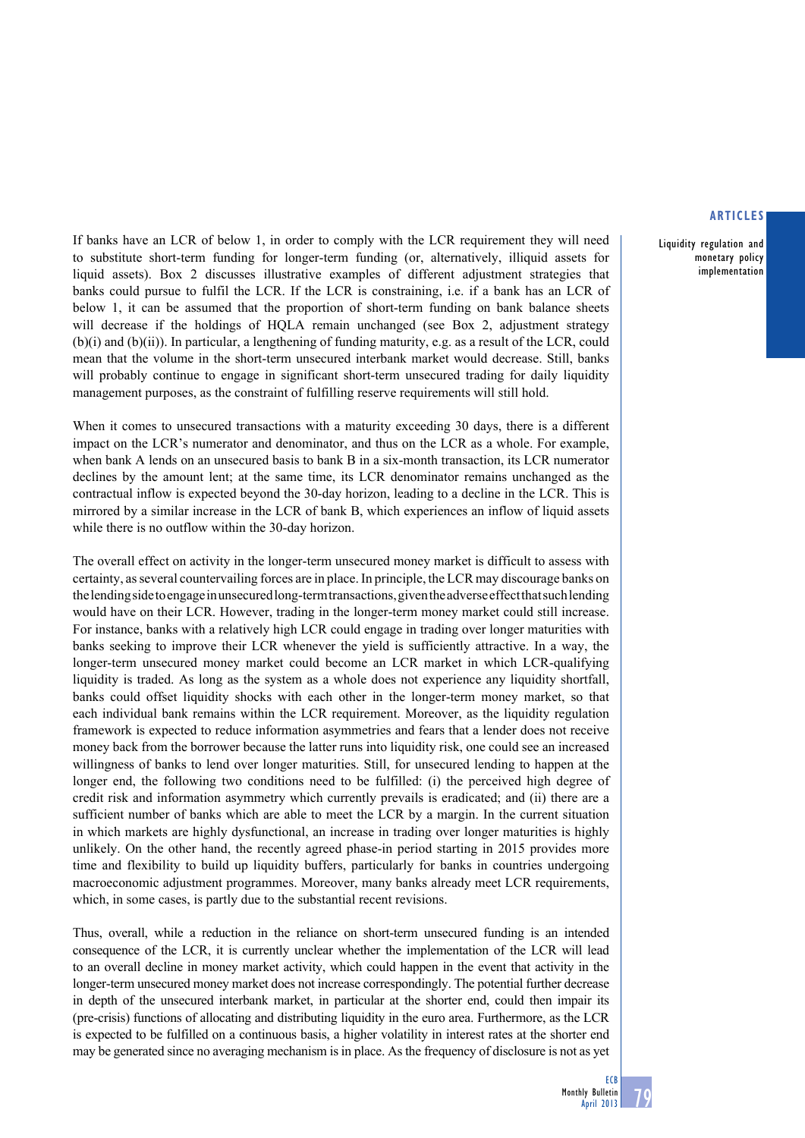Liquidity regulation and monetary policy implementation

If banks have an LCR of below 1, in order to comply with the LCR requirement they will need to substitute short-term funding for longer-term funding (or, alternatively, illiquid assets for liquid assets). Box 2 discusses illustrative examples of different adjustment strategies that banks could pursue to fulfil the LCR. If the LCR is constraining, i.e. if a bank has an LCR of below 1, it can be assumed that the proportion of short-term funding on bank balance sheets will decrease if the holdings of HQLA remain unchanged (see Box 2, adjustment strategy  $(b)(i)$  and  $(b)(ii)$ ). In particular, a lengthening of funding maturity, e.g. as a result of the LCR, could mean that the volume in the short-term unsecured interbank market would decrease. Still, banks will probably continue to engage in significant short-term unsecured trading for daily liquidity management purposes, as the constraint of fulfilling reserve requirements will still hold.

When it comes to unsecured transactions with a maturity exceeding 30 days, there is a different impact on the LCR's numerator and denominator, and thus on the LCR as a whole. For example, when bank A lends on an unsecured basis to bank B in a six-month transaction, its LCR numerator declines by the amount lent; at the same time, its LCR denominator remains unchanged as the contractual inflow is expected beyond the 30-day horizon, leading to a decline in the LCR. This is mirrored by a similar increase in the LCR of bank B, which experiences an inflow of liquid assets while there is no outflow within the 30-day horizon.

The overall effect on activity in the longer-term unsecured money market is difficult to assess with certainty, as several countervailing forces are in place. In principle, the LCR may discourage banks on the lending side to engage in unsecured long-term transactions, given the adverse effect that such lending would have on their LCR. However, trading in the longer-term money market could still increase. For instance, banks with a relatively high LCR could engage in trading over longer maturities with banks seeking to improve their LCR whenever the yield is sufficiently attractive. In a way, the longer-term unsecured money market could become an LCR market in which LCR-qualifying liquidity is traded. As long as the system as a whole does not experience any liquidity shortfall, banks could offset liquidity shocks with each other in the longer-term money market, so that each individual bank remains within the LCR requirement. Moreover, as the liquidity regulation framework is expected to reduce information asymmetries and fears that a lender does not receive money back from the borrower because the latter runs into liquidity risk, one could see an increased willingness of banks to lend over longer maturities. Still, for unsecured lending to happen at the longer end, the following two conditions need to be fulfilled: (i) the perceived high degree of credit risk and information asymmetry which currently prevails is eradicated; and (ii) there are a sufficient number of banks which are able to meet the LCR by a margin. In the current situation in which markets are highly dysfunctional, an increase in trading over longer maturities is highly unlikely. On the other hand, the recently agreed phase-in period starting in 2015 provides more time and flexibility to build up liquidity buffers, particularly for banks in countries undergoing macroeconomic adjustment programmes. Moreover, many banks already meet LCR requirements, which, in some cases, is partly due to the substantial recent revisions.

Thus, overall, while a reduction in the reliance on short-term unsecured funding is an intended consequence of the LCR, it is currently unclear whether the implementation of the LCR will lead to an overall decline in money market activity, which could happen in the event that activity in the longer-term unsecured money market does not increase correspondingly. The potential further decrease in depth of the unsecured interbank market, in particular at the shorter end, could then impair its (pre-crisis) functions of allocating and distributing liquidity in the euro area. Furthermore, as the LCR is expected to be fulfilled on a continuous basis, a higher volatility in interest rates at the shorter end may be generated since no averaging mechanism is in place. As the frequency of disclosure is not as yet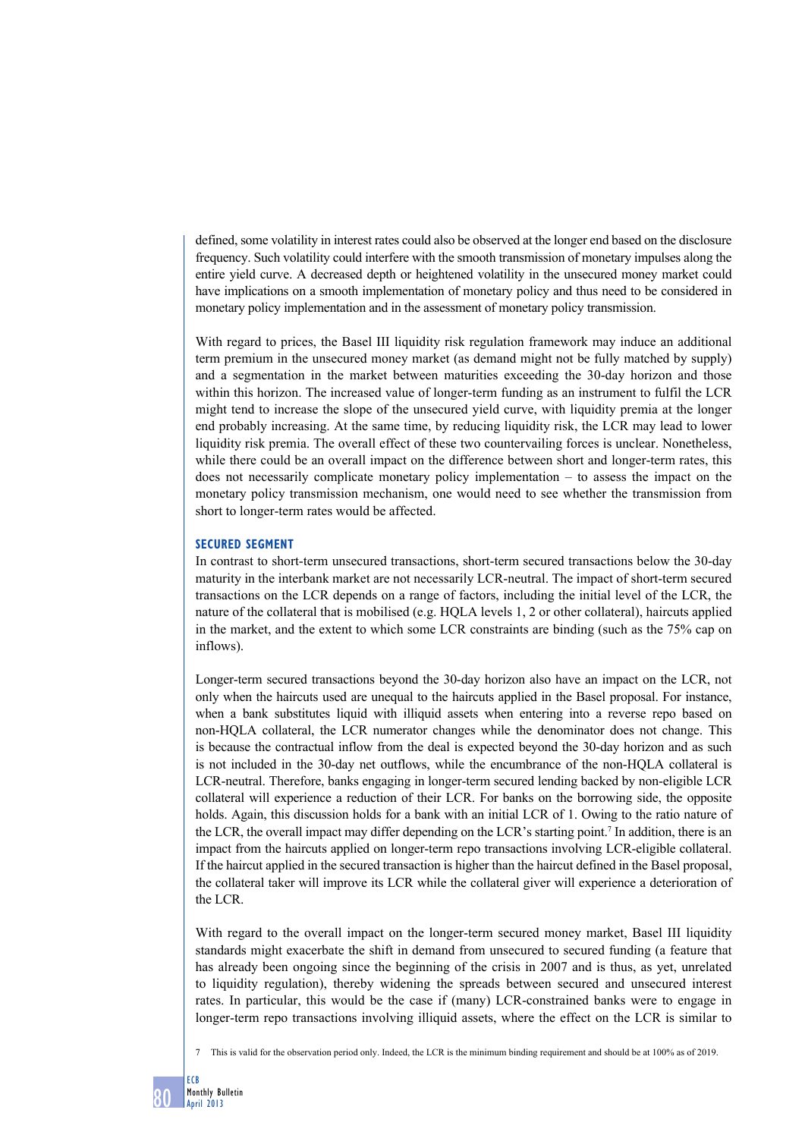defined, some volatility in interest rates could also be observed at the longer end based on the disclosure frequency. Such volatility could interfere with the smooth transmission of monetary impulses along the entire yield curve. A decreased depth or heightened volatility in the unsecured money market could have implications on a smooth implementation of monetary policy and thus need to be considered in monetary policy implementation and in the assessment of monetary policy transmission.

With regard to prices, the Basel III liquidity risk regulation framework may induce an additional term premium in the unsecured money market (as demand might not be fully matched by supply) and a segmentation in the market between maturities exceeding the 30-day horizon and those within this horizon. The increased value of longer-term funding as an instrument to fulfil the LCR might tend to increase the slope of the unsecured yield curve, with liquidity premia at the longer end probably increasing. At the same time, by reducing liquidity risk, the LCR may lead to lower liquidity risk premia. The overall effect of these two countervailing forces is unclear. Nonetheless, while there could be an overall impact on the difference between short and longer-term rates, this does not necessarily complicate monetary policy implementation – to assess the impact on the monetary policy transmission mechanism, one would need to see whether the transmission from short to longer-term rates would be affected.

# **Secured segment**

In contrast to short-term unsecured transactions, short-term secured transactions below the 30-day maturity in the interbank market are not necessarily LCR-neutral. The impact of short-term secured transactions on the LCR depends on a range of factors, including the initial level of the LCR, the nature of the collateral that is mobilised (e.g. HQLA levels 1, 2 or other collateral), haircuts applied in the market, and the extent to which some LCR constraints are binding (such as the 75% cap on inflows).

Longer-term secured transactions beyond the 30-day horizon also have an impact on the LCR, not only when the haircuts used are unequal to the haircuts applied in the Basel proposal. For instance, when a bank substitutes liquid with illiquid assets when entering into a reverse repo based on non-HQLA collateral, the LCR numerator changes while the denominator does not change. This is because the contractual inflow from the deal is expected beyond the 30-day horizon and as such is not included in the 30-day net outflows, while the encumbrance of the non-HQLA collateral is LCR-neutral. Therefore, banks engaging in longer-term secured lending backed by non-eligible LCR collateral will experience a reduction of their LCR. For banks on the borrowing side, the opposite holds. Again, this discussion holds for a bank with an initial LCR of 1. Owing to the ratio nature of the LCR, the overall impact may differ depending on the LCR's starting point.7 In addition, there is an impact from the haircuts applied on longer-term repo transactions involving LCR-eligible collateral. If the haircut applied in the secured transaction is higher than the haircut defined in the Basel proposal, the collateral taker will improve its LCR while the collateral giver will experience a deterioration of the LCR.

With regard to the overall impact on the longer-term secured money market, Basel III liquidity standards might exacerbate the shift in demand from unsecured to secured funding (a feature that has already been ongoing since the beginning of the crisis in 2007 and is thus, as yet, unrelated to liquidity regulation), thereby widening the spreads between secured and unsecured interest rates. In particular, this would be the case if (many) LCR-constrained banks were to engage in longer-term repo transactions involving illiquid assets, where the effect on the LCR is similar to

<sup>7</sup> This is valid for the observation period only. Indeed, the LCR is the minimum binding requirement and should be at 100% as of 2019.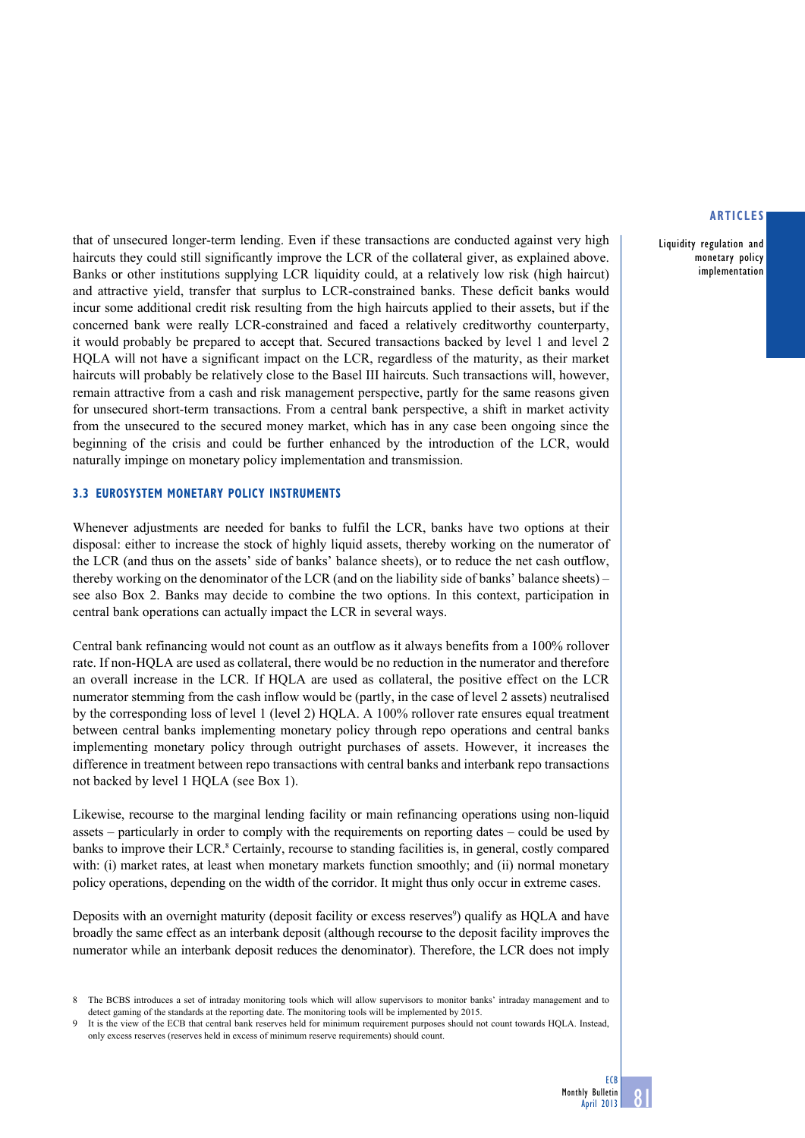Liquidity regulation and monetary policy implementation

that of unsecured longer-term lending. Even if these transactions are conducted against very high haircuts they could still significantly improve the LCR of the collateral giver, as explained above. Banks or other institutions supplying LCR liquidity could, at a relatively low risk (high haircut) and attractive yield, transfer that surplus to LCR-constrained banks. These deficit banks would incur some additional credit risk resulting from the high haircuts applied to their assets, but if the concerned bank were really LCR-constrained and faced a relatively creditworthy counterparty, it would probably be prepared to accept that. Secured transactions backed by level 1 and level 2 HQLA will not have a significant impact on the LCR, regardless of the maturity, as their market haircuts will probably be relatively close to the Basel III haircuts. Such transactions will, however, remain attractive from a cash and risk management perspective, partly for the same reasons given for unsecured short-term transactions. From a central bank perspective, a shift in market activity from the unsecured to the secured money market, which has in any case been ongoing since the beginning of the crisis and could be further enhanced by the introduction of the LCR, would naturally impinge on monetary policy implementation and transmission.

# **3.3 Eurosystem monetary policy instruments**

Whenever adjustments are needed for banks to fulfil the LCR, banks have two options at their disposal: either to increase the stock of highly liquid assets, thereby working on the numerator of the LCR (and thus on the assets' side of banks' balance sheets), or to reduce the net cash outflow, thereby working on the denominator of the LCR (and on the liability side of banks' balance sheets) – see also Box 2. Banks may decide to combine the two options. In this context, participation in central bank operations can actually impact the LCR in several ways.

Central bank refinancing would not count as an outflow as it always benefits from a 100% rollover rate. If non-HQLA are used as collateral, there would be no reduction in the numerator and therefore an overall increase in the LCR. If HQLA are used as collateral, the positive effect on the LCR numerator stemming from the cash inflow would be (partly, in the case of level 2 assets) neutralised by the corresponding loss of level 1 (level 2) HQLA. A 100% rollover rate ensures equal treatment between central banks implementing monetary policy through repo operations and central banks implementing monetary policy through outright purchases of assets. However, it increases the difference in treatment between repo transactions with central banks and interbank repo transactions not backed by level 1 HQLA (see Box 1).

Likewise, recourse to the marginal lending facility or main refinancing operations using non-liquid assets – particularly in order to comply with the requirements on reporting dates – could be used by banks to improve their LCR.<sup>8</sup> Certainly, recourse to standing facilities is, in general, costly compared with: (i) market rates, at least when monetary markets function smoothly; and (ii) normal monetary policy operations, depending on the width of the corridor. It might thus only occur in extreme cases.

Deposits with an overnight maturity (deposit facility or excess reserves<sup>9</sup>) qualify as HQLA and have broadly the same effect as an interbank deposit (although recourse to the deposit facility improves the numerator while an interbank deposit reduces the denominator). Therefore, the LCR does not imply

<sup>8</sup> The BCBS introduces a set of intraday monitoring tools which will allow supervisors to monitor banks' intraday management and to detect gaming of the standards at the reporting date. The monitoring tools will be implemented by 2015.

<sup>9</sup> It is the view of the ECB that central bank reserves held for minimum requirement purposes should not count towards HQLA. Instead, only excess reserves (reserves held in excess of minimum reserve requirements) should count.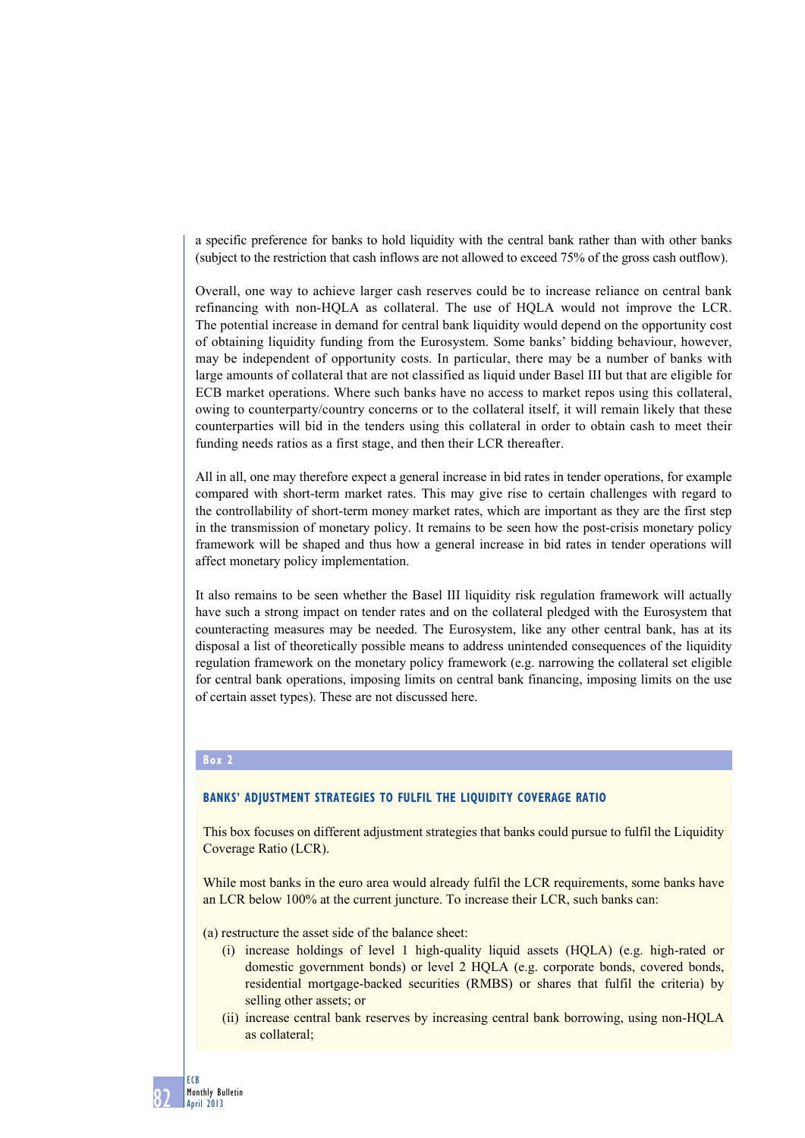a specific preference for banks to hold liquidity with the central bank rather than with other banks (subject to the restriction that cash inflows are not allowed to exceed 75% of the gross cash outflow).

Overall, one way to achieve larger cash reserves could be to increase reliance on central bank refinancing with non-HQLA as collateral. The use of HQLA would not improve the LCR. The potential increase in demand for central bank liquidity would depend on the opportunity cost of obtaining liquidity funding from the Eurosystem. Some banks' bidding behaviour, however, may be independent of opportunity costs. In particular, there may be a number of banks with large amounts of collateral that are not classified as liquid under Basel III but that are eligible for ECB market operations. Where such banks have no access to market repos using this collateral, owing to counterparty/country concerns or to the collateral itself, it will remain likely that these counterparties will bid in the tenders using this collateral in order to obtain cash to meet their funding needs ratios as a first stage, and then their LCR thereafter.

All in all, one may therefore expect a general increase in bid rates in tender operations, for example compared with short-term market rates. This may give rise to certain challenges with regard to the controllability of short-term money market rates, which are important as they are the first step in the transmission of monetary policy. It remains to be seen how the post-crisis monetary policy framework will be shaped and thus how a general increase in bid rates in tender operations will affect monetary policy implementation.

It also remains to be seen whether the Basel III liquidity risk regulation framework will actually have such a strong impact on tender rates and on the collateral pledged with the Eurosystem that counteracting measures may be needed. The Eurosystem, like any other central bank, has at its disposal a list of theoretically possible means to address unintended consequences of the liquidity regulation framework on the monetary policy framework (e.g. narrowing the collateral set eligible for central bank operations, imposing limits on central bank financing, imposing limits on the use of certain asset types). These are not discussed here.

# **Box 2**

## **Banks' adjustment strategies to fulfil the Liquidity Coverage Ratio**

This box focuses on different adjustment strategies that banks could pursue to fulfil the Liquidity Coverage Ratio (LCR).

While most banks in the euro area would already fulfil the LCR requirements, some banks have an LCR below 100% at the current juncture. To increase their LCR, such banks can:

(a) restructure the asset side of the balance sheet:

- (i) increase holdings of level 1 high-quality liquid assets (HQLA) (e.g. high-rated or domestic government bonds) or level 2 HQLA (e.g. corporate bonds, covered bonds, residential mortgage-backed securities (RMBS) or shares that fulfil the criteria) by selling other assets; or
- (ii) increase central bank reserves by increasing central bank borrowing, using non-HQLA as collateral;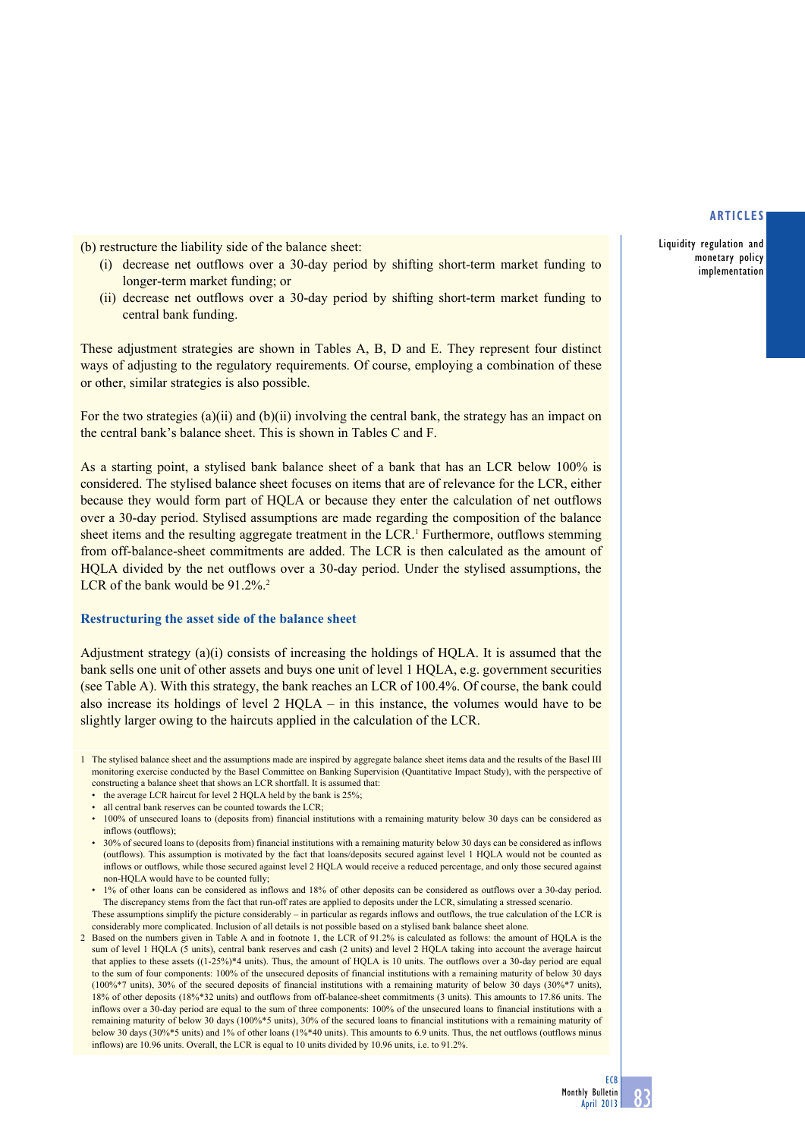Liquidity regulation and monetary policy implementation

(b) restructure the liability side of the balance sheet:

- (i) decrease net outflows over a 30-day period by shifting short-term market funding to longer-term market funding; or
- (ii) decrease net outflows over a 30-day period by shifting short-term market funding to central bank funding.

These adjustment strategies are shown in Tables A, B, D and E. They represent four distinct ways of adjusting to the regulatory requirements. Of course, employing a combination of these or other, similar strategies is also possible.

For the two strategies (a)(ii) and (b)(ii) involving the central bank, the strategy has an impact on the central bank's balance sheet. This is shown in Tables C and F.

As a starting point, a stylised bank balance sheet of a bank that has an LCR below 100% is considered. The stylised balance sheet focuses on items that are of relevance for the LCR, either because they would form part of HQLA or because they enter the calculation of net outflows over a 30-day period. Stylised assumptions are made regarding the composition of the balance sheet items and the resulting aggregate treatment in the LCR.<sup>1</sup> Furthermore, outflows stemming from off-balance-sheet commitments are added. The LCR is then calculated as the amount of HQLA divided by the net outflows over a 30-day period. Under the stylised assumptions, the LCR of the bank would be 91.2%.<sup>2</sup>

# **Restructuring the asset side of the balance sheet**

Adjustment strategy (a)(i) consists of increasing the holdings of HQLA. It is assumed that the bank sells one unit of other assets and buys one unit of level 1 HQLA, e.g. government securities (see Table A). With this strategy, the bank reaches an LCR of 100.4%. Of course, the bank could also increase its holdings of level 2 HQLA – in this instance, the volumes would have to be slightly larger owing to the haircuts applied in the calculation of the LCR.

• 100% of unsecured loans to (deposits from) financial institutions with a remaining maturity below 30 days can be considered as inflows (outflows);

sum of level 1 HQLA (5 units), central bank reserves and cash (2 units) and level 2 HQLA taking into account the average haircut that applies to these assets ((1-25%)\*4 units). Thus, the amount of HQLA is 10 units. The outflows over a 30-day period are equal to the sum of four components: 100% of the unsecured deposits of financial institutions with a remaining maturity of below 30 days (100%\*7 units), 30% of the secured deposits of financial institutions with a remaining maturity of below 30 days (30%\*7 units), 18% of other deposits (18%\*32 units) and outflows from off-balance-sheet commitments (3 units). This amounts to 17.86 units. The inflows over a 30-day period are equal to the sum of three components: 100% of the unsecured loans to financial institutions with a remaining maturity of below 30 days (100%\*5 units), 30% of the secured loans to financial institutions with a remaining maturity of below 30 days (30%\*5 units) and 1% of other loans (1%\*40 units). This amounts to 6.9 units. Thus, the net outflows (outflows minus inflows) are 10.96 units. Overall, the LCR is equal to 10 units divided by 10.96 units, i.e. to 91.2%.



<sup>1</sup> The stylised balance sheet and the assumptions made are inspired by aggregate balance sheet items data and the results of the Basel III monitoring exercise conducted by the Basel Committee on Banking Supervision (Quantitative Impact Study), with the perspective of constructing a balance sheet that shows an LCR shortfall. It is assumed that:

the average LCR haircut for level 2 HQLA held by the bank is 25%;

all central bank reserves can be counted towards the LCR;

<sup>•</sup> 30% of secured loans to (deposits from) financial institutions with a remaining maturity below 30 days can be considered as inflows (outflows). This assumption is motivated by the fact that loans/deposits secured against level 1 HQLA would not be counted as inflows or outflows, while those secured against level 2 HQLA would receive a reduced percentage, and only those secured against non-HQLA would have to be counted fully;

<sup>•</sup> 1% of other loans can be considered as inflows and 18% of other deposits can be considered as outflows over a 30-day period. The discrepancy stems from the fact that run-off rates are applied to deposits under the LCR, simulating a stressed scenario. These assumptions simplify the picture considerably – in particular as regards inflows and outflows, the true calculation of the LCR is

considerably more complicated. Inclusion of all details is not possible based on a stylised bank balance sheet alone. 2 Based on the numbers given in Table A and in footnote 1, the LCR of 91.2% is calculated as follows: the amount of HQLA is the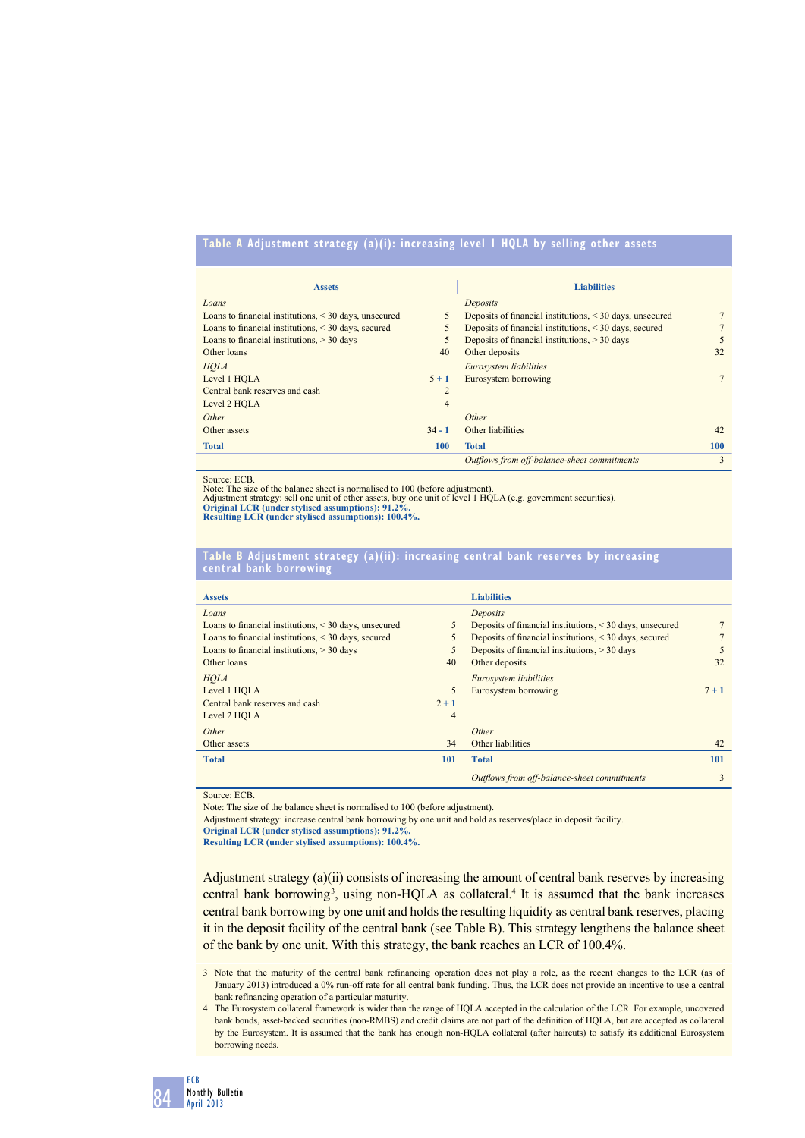# **table A Adjustment strategy (a)(i): increasing level 1 hqlA by selling other assets**

| <b>Assets</b>                                              |                | <b>Liabilities</b>                                            |            |
|------------------------------------------------------------|----------------|---------------------------------------------------------------|------------|
| Loans                                                      |                | Deposits                                                      |            |
| Loans to financial institutions, $\leq 30$ days, unsecured | 5              | Deposits of financial institutions, $\leq$ 30 days, unsecured |            |
| Loans to financial institutions, $\leq$ 30 days, secured   | 5              | Deposits of financial institutions, < 30 days, secured        |            |
| Loans to financial institutions, $>$ 30 days               | 5              | Deposits of financial institutions, $>$ 30 days               | 5          |
| Other loans                                                | 40             | Other deposits                                                | 32         |
| <b>HOLA</b>                                                |                | Eurosystem liabilities                                        |            |
| Level 1 HOLA                                               | $5 + 1$        | Eurosystem borrowing                                          |            |
| Central bank reserves and cash                             | $\overline{c}$ |                                                               |            |
| Level 2 HOLA                                               | $\overline{4}$ |                                                               |            |
| Other                                                      |                | Other                                                         |            |
| Other assets                                               | $34 - 1$       | Other liabilities                                             | 42         |
| <b>Total</b>                                               | 100            | <b>Total</b>                                                  | <b>100</b> |
|                                                            |                | Outflows from off-balance-sheet commitments                   | 3          |

Source: ECB.

Note: The size of the balance sheet is normalised to 100 (before adjustment).<br>Adjustment strategy: sell one unit of other assets, buy one unit of level 1 HQLA (e.g. government securities).<br>Original LCR (under stylised assu

**Resulting LCR (under stylised assumptions): 100.4%.**

#### **table b Adjustment strategy (a)(ii): increasing central bank reserves by increasing central bank borrowing**

| <b>Assets</b>                                              |         | <b>Liabilities</b>                                       |         |
|------------------------------------------------------------|---------|----------------------------------------------------------|---------|
| Loans                                                      |         | Deposits                                                 |         |
| Loans to financial institutions, $\leq 30$ days, unsecured | 5       | Deposits of financial institutions, < 30 days, unsecured |         |
| Loans to financial institutions, $\leq$ 30 days, secured   | 5       | Deposits of financial institutions, < 30 days, secured   |         |
| Loans to financial institutions, $>$ 30 days               | 5       | Deposits of financial institutions, $>$ 30 days          | 5       |
| Other loans                                                | 40      | Other deposits                                           | 32      |
| <b>HOLA</b>                                                |         | Eurosystem liabilities                                   |         |
| Level 1 HOLA                                               | 5       | Eurosystem borrowing                                     | $7 + 1$ |
| Central bank reserves and cash                             | $2 + 1$ |                                                          |         |
| Level 2 HOLA                                               | 4       |                                                          |         |
| Other                                                      |         | Other                                                    |         |
| Other assets                                               | 34      | Other liabilities                                        | 42      |
| <b>Total</b>                                               | 101     | <b>Total</b>                                             | 101     |
|                                                            |         | Outflows from off-balance-sheet commitments              | 3       |

Source: ECB

Note: The size of the balance sheet is normalised to 100 (before adjustment).

Adjustment strategy: increase central bank borrowing by one unit and hold as reserves/place in deposit facility.

**Original LCR (under stylised assumptions): 91.2%.** 

**Resulting LCR (under stylised assumptions): 100.4%.**

Adjustment strategy (a)(ii) consists of increasing the amount of central bank reserves by increasing central bank borrowing<sup>3</sup>, using non-HQLA as collateral.<sup>4</sup> It is assumed that the bank increases central bank borrowing by one unit and holds the resulting liquidity as central bank reserves, placing it in the deposit facility of the central bank (see Table B). This strategy lengthens the balance sheet of the bank by one unit. With this strategy, the bank reaches an LCR of 100.4%.

3 Note that the maturity of the central bank refinancing operation does not play a role, as the recent changes to the LCR (as of January 2013) introduced a 0% run-off rate for all central bank funding. Thus, the LCR does not provide an incentive to use a central bank refinancing operation of a particular maturity.

4 The Eurosystem collateral framework is wider than the range of HQLA accepted in the calculation of the LCR. For example, uncovered bank bonds, asset-backed securities (non-RMBS) and credit claims are not part of the definition of HQLA, but are accepted as collateral by the Eurosystem. It is assumed that the bank has enough non-HQLA collateral (after haircuts) to satisfy its additional Eurosystem borrowing needs.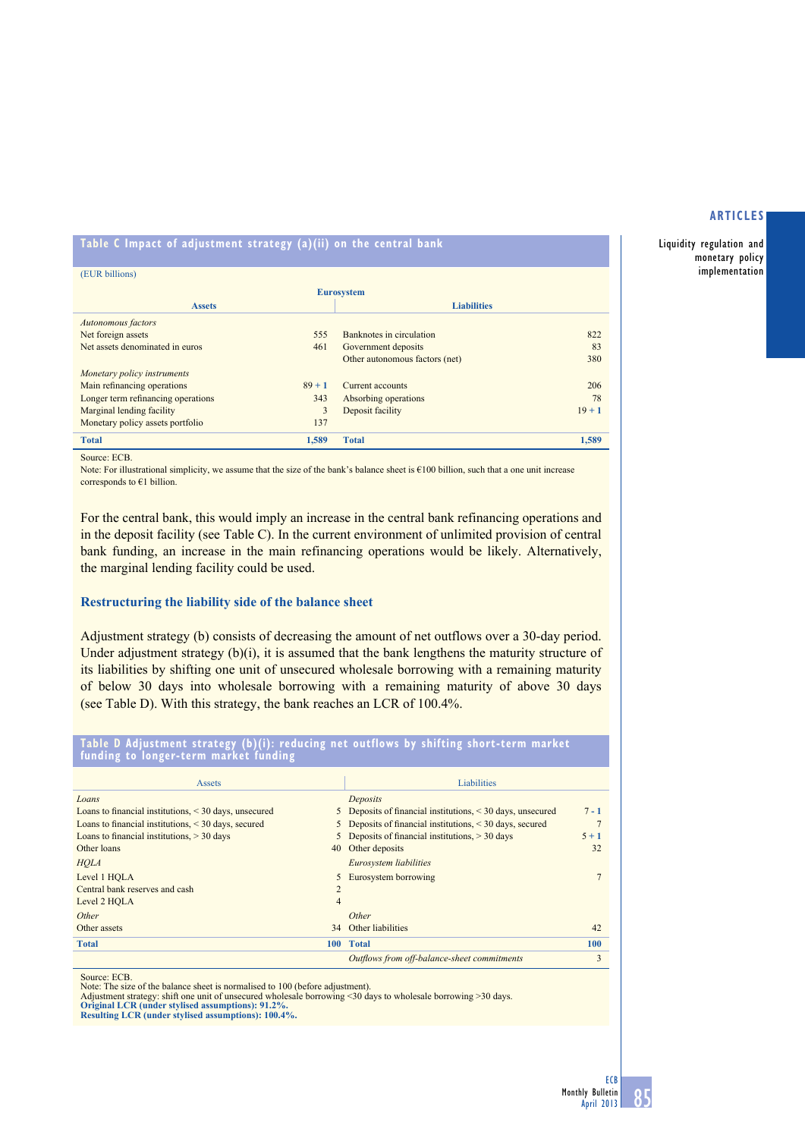Liquidity regulation and monetary policy implementation

# **table C impact of adjustment strategy (a)(ii) on the central bank**

| (EUR billions)                     |          |                                |          |  |  |  |
|------------------------------------|----------|--------------------------------|----------|--|--|--|
| <b>Eurosystem</b>                  |          |                                |          |  |  |  |
| <b>Assets</b>                      |          | <b>Liabilities</b>             |          |  |  |  |
| Autonomous factors                 |          |                                |          |  |  |  |
| Net foreign assets                 | 555      | Banknotes in circulation       | 822      |  |  |  |
| Net assets denominated in euros    | 461      | Government deposits            | 83       |  |  |  |
|                                    |          | Other autonomous factors (net) | 380      |  |  |  |
| Monetary policy instruments        |          |                                |          |  |  |  |
| Main refinancing operations        | $89 + 1$ | Current accounts               | 206      |  |  |  |
| Longer term refinancing operations | 343      | Absorbing operations           | 78       |  |  |  |
| Marginal lending facility          | 3        | Deposit facility               | $19 + 1$ |  |  |  |
| Monetary policy assets portfolio   | 137      |                                |          |  |  |  |
| <b>Total</b>                       | 1.589    | <b>Total</b>                   | 1,589    |  |  |  |

Source: ECB.

Note: For illustrational simplicity, we assume that the size of the bank's balance sheet is  $€100$  billion, such that a one unit increase corresponds to €1 billion.

For the central bank, this would imply an increase in the central bank refinancing operations and in the deposit facility (see Table C). In the current environment of unlimited provision of central bank funding, an increase in the main refinancing operations would be likely. Alternatively, the marginal lending facility could be used.

# **Restructuring the liability side of the balance sheet**

Adjustment strategy (b) consists of decreasing the amount of net outflows over a 30-day period. Under adjustment strategy  $(b)(i)$ , it is assumed that the bank lengthens the maturity structure of its liabilities by shifting one unit of unsecured wholesale borrowing with a remaining maturity of below 30 days into wholesale borrowing with a remaining maturity of above 30 days (see Table D). With this strategy, the bank reaches an LCR of 100.4%.

**table d Adjustment strategy (b)(i): reducing net outflows by shifting short-term market funding to longer-term market funding**

| <b>Assets</b>                                              |                | <b>Liabilities</b>                                         |            |
|------------------------------------------------------------|----------------|------------------------------------------------------------|------------|
| Loans                                                      |                | Deposits                                                   |            |
| Loans to financial institutions, $\leq 30$ days, unsecured |                | 5 Deposits of financial institutions, < 30 days, unsecured | $7 - 1$    |
| Loans to financial institutions, $\leq 30$ days, secured   |                | 5 Deposits of financial institutions, < 30 days, secured   |            |
| Loans to financial institutions, $>$ 30 days               |                | 5 Deposits of financial institutions, > 30 days            | $5 + 1$    |
| Other loans                                                | 40             | Other deposits                                             | 32         |
| <b>HOLA</b>                                                |                | Eurosystem liabilities                                     |            |
| Level 1 HOLA                                               |                | 5 Eurosystem borrowing                                     |            |
| Central bank reserves and cash                             | $\overline{c}$ |                                                            |            |
| Level 2 HOLA                                               | 4              |                                                            |            |
| Other                                                      |                | Other                                                      |            |
| Other assets                                               | 34             | Other liabilities                                          | 42         |
| <b>Total</b>                                               |                | 100 Total                                                  | <b>100</b> |
|                                                            |                | Outflows from off-balance-sheet commitments                | 3          |

Source: ECB. Note: The size of the balance sheet is normalised to 100 (before adjustment).

Adjustment strategy: shift one unit of unsecured wholesale borrowing <30 days to wholesale borrowing >30 days.<br>Original LCR (under stylised assumptions): 91.2%.<br>Resulting LCR (under stylised assumptions): 100.4%.

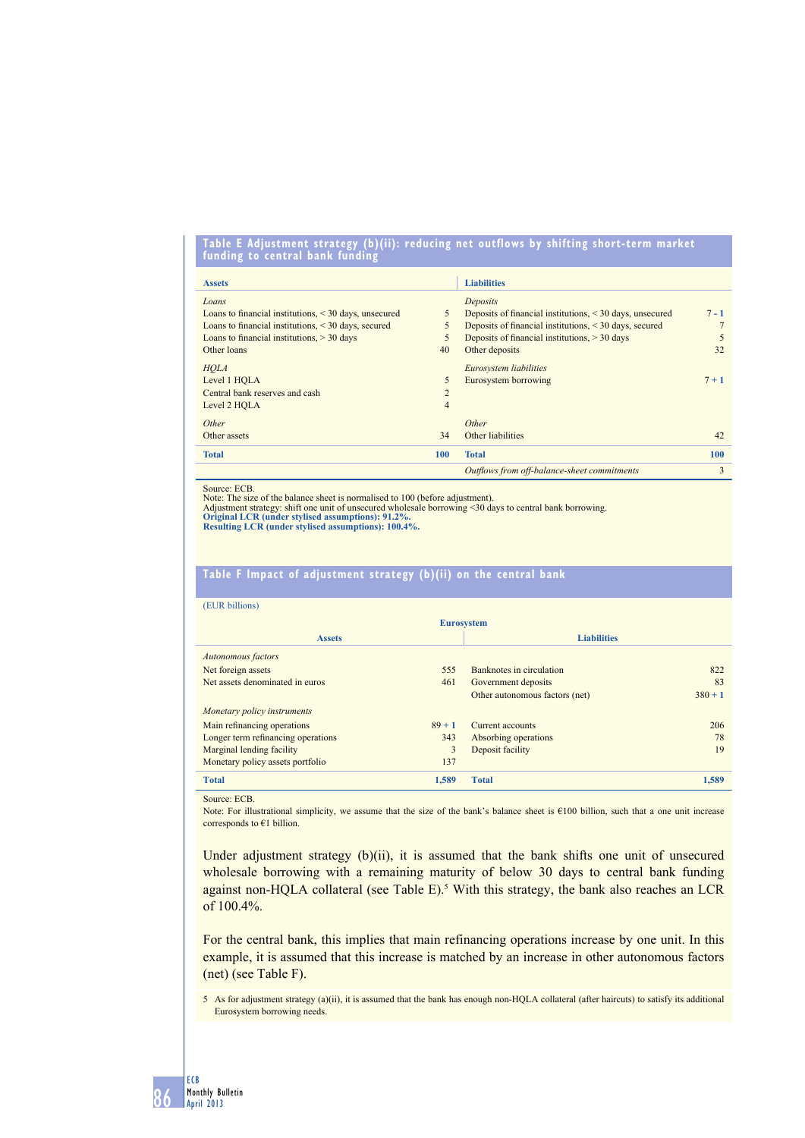#### **table e Adjustment strategy (b)(ii): reducing net outflows by shifting short-term market funding to central bank funding**

| <b>Assets</b>                                              |                | <b>Liabilities</b>                                       |         |
|------------------------------------------------------------|----------------|----------------------------------------------------------|---------|
| Loans                                                      |                | Deposits                                                 |         |
| Loans to financial institutions, $\leq$ 30 days, unsecured | 5              | Deposits of financial institutions, < 30 days, unsecured | $7 - 1$ |
| Loans to financial institutions, $\leq$ 30 days, secured   | 5              | Deposits of financial institutions, < 30 days, secured   |         |
| Loans to financial institutions, $>$ 30 days               | 5              | Deposits of financial institutions, $>$ 30 days          | 5       |
| Other loans                                                | 40             | Other deposits                                           | 32      |
| <b>HOLA</b>                                                |                | Eurosystem liabilities                                   |         |
| Level 1 HOLA                                               | 5              | Eurosystem borrowing                                     | $7 + 1$ |
| Central bank reserves and cash                             | $\overline{c}$ |                                                          |         |
| Level 2 HOLA                                               | $\overline{4}$ |                                                          |         |
| Other                                                      |                | Other                                                    |         |
| Other assets                                               | 34             | Other liabilities                                        | 42      |
| <b>Total</b>                                               | 100            | <b>Total</b>                                             | 100     |
|                                                            |                | Outflows from off-balance-sheet commitments              | 3       |

Source: ECB.

Note: The size of the balance sheet is normalised to 100 (before adjustment).

Adjustment strategy: shift one unit of unsecured wholesale borrowing <30 days to central bank borrowing. **Original LCR (under stylised assumptions): 91.2%.** 

**Resulting LCR (under stylised assumptions): 100.4%.**

# **table F impact of adjustment strategy (b)(ii) on the central bank**

| (EUR billions) |  |
|----------------|--|
|                |  |

| <b>Eurosystem</b>                       |       |                                |                    |  |  |
|-----------------------------------------|-------|--------------------------------|--------------------|--|--|
| <b>Assets</b>                           |       |                                | <b>Liabilities</b> |  |  |
| Autonomous factors                      |       |                                |                    |  |  |
| Net foreign assets                      | 555   | Banknotes in circulation       | 822                |  |  |
| Net assets denominated in euros         | 461   | Government deposits            | 83                 |  |  |
|                                         |       | Other autonomous factors (net) | $380 + 1$          |  |  |
| Monetary policy instruments             |       |                                |                    |  |  |
| Main refinancing operations<br>$89 + 1$ |       | Current accounts               | 206                |  |  |
| Longer term refinancing operations      | 343   | Absorbing operations           | 78                 |  |  |
| Marginal lending facility               | 3     | Deposit facility               | 19                 |  |  |
| Monetary policy assets portfolio        | 137   |                                |                    |  |  |
| <b>Total</b>                            | 1.589 | <b>Total</b>                   | 1,589              |  |  |

Source: ECB.

Note: For illustrational simplicity, we assume that the size of the bank's balance sheet is €100 billion, such that a one unit increase corresponds to €1 billion.

Under adjustment strategy (b)(ii), it is assumed that the bank shifts one unit of unsecured wholesale borrowing with a remaining maturity of below 30 days to central bank funding against non-HQLA collateral (see Table  $E$ ).<sup>5</sup> With this strategy, the bank also reaches an LCR of 100.4%.

For the central bank, this implies that main refinancing operations increase by one unit. In this example, it is assumed that this increase is matched by an increase in other autonomous factors (net) (see Table F).

5 As for adjustment strategy (a)(ii), it is assumed that the bank has enough non-HQLA collateral (after haircuts) to satisfy its additional Eurosystem borrowing needs.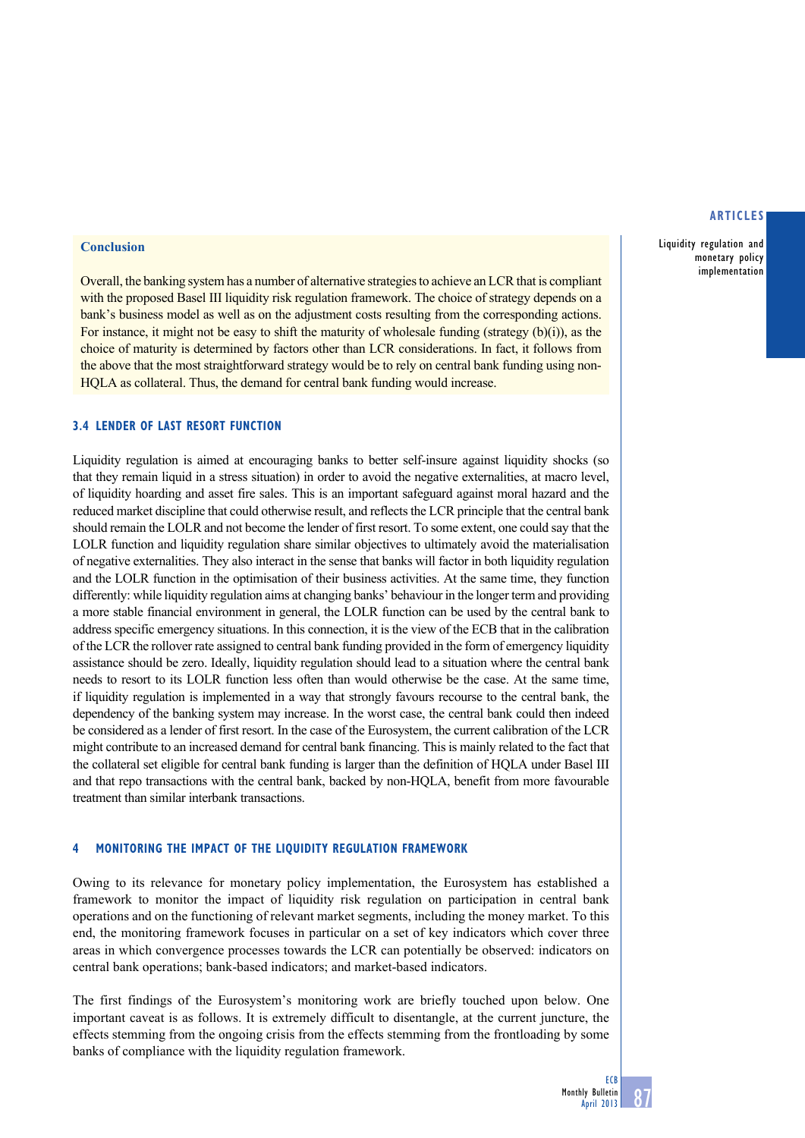## **Conclusion**

Overall, the banking system has a number of alternative strategies to achieve an LCR that is compliant with the proposed Basel III liquidity risk regulation framework. The choice of strategy depends on a bank's business model as well as on the adjustment costs resulting from the corresponding actions. For instance, it might not be easy to shift the maturity of wholesale funding (strategy (b)(i)), as the choice of maturity is determined by factors other than LCR considerations. In fact, it follows from the above that the most straightforward strategy would be to rely on central bank funding using non-HQLA as collateral. Thus, the demand for central bank funding would increase.

# **3.4 lender of last resort function**

Liquidity regulation is aimed at encouraging banks to better self-insure against liquidity shocks (so that they remain liquid in a stress situation) in order to avoid the negative externalities, at macro level, of liquidity hoarding and asset fire sales. This is an important safeguard against moral hazard and the reduced market discipline that could otherwise result, and reflects the LCR principle that the central bank should remain the LOLR and not become the lender of first resort. To some extent, one could say that the LOLR function and liquidity regulation share similar objectives to ultimately avoid the materialisation of negative externalities. They also interact in the sense that banks will factor in both liquidity regulation and the LOLR function in the optimisation of their business activities. At the same time, they function differently: while liquidity regulation aims at changing banks' behaviour in the longer term and providing a more stable financial environment in general, the LOLR function can be used by the central bank to address specific emergency situations. In this connection, it is the view of the ECB that in the calibration of the LCR the rollover rate assigned to central bank funding provided in the form of emergency liquidity assistance should be zero. Ideally, liquidity regulation should lead to a situation where the central bank needs to resort to its LOLR function less often than would otherwise be the case. At the same time, if liquidity regulation is implemented in a way that strongly favours recourse to the central bank, the dependency of the banking system may increase. In the worst case, the central bank could then indeed be considered as a lender of first resort. In the case of the Eurosystem, the current calibration of the LCR might contribute to an increased demand for central bank financing. This is mainly related to the fact that the collateral set eligible for central bank funding is larger than the definition of HQLA under Basel III and that repo transactions with the central bank, backed by non-HQLA, benefit from more favourable treatment than similar interbank transactions.

# **4 monitoring the impact of the liquidity regulation framework**

Owing to its relevance for monetary policy implementation, the Eurosystem has established a framework to monitor the impact of liquidity risk regulation on participation in central bank operations and on the functioning of relevant market segments, including the money market. To this end, the monitoring framework focuses in particular on a set of key indicators which cover three areas in which convergence processes towards the LCR can potentially be observed: indicators on central bank operations; bank-based indicators; and market-based indicators.

The first findings of the Eurosystem's monitoring work are briefly touched upon below. One important caveat is as follows. It is extremely difficult to disentangle, at the current juncture, the effects stemming from the ongoing crisis from the effects stemming from the frontloading by some banks of compliance with the liquidity regulation framework.

#### **articles**

Liquidity regulation and monetary policy implementation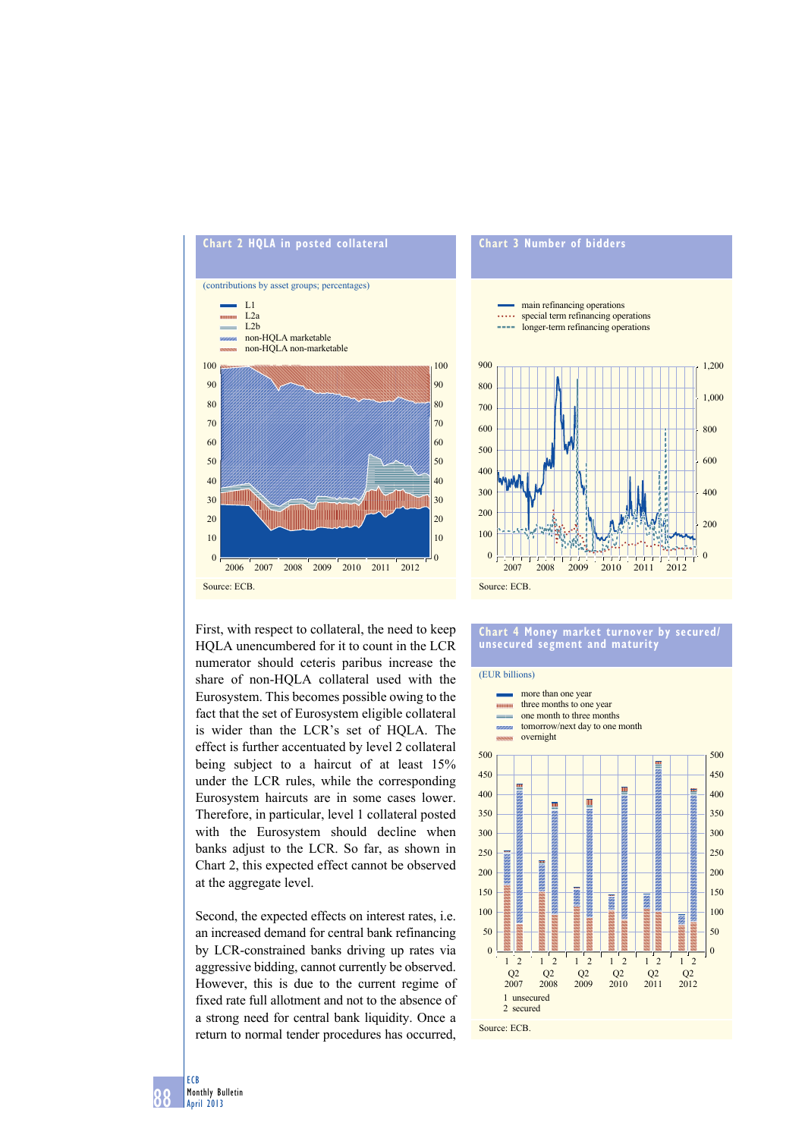



First, with respect to collateral, the need to keep HQLA unencumbered for it to count in the LCR numerator should ceteris paribus increase the share of non-HQLA collateral used with the Eurosystem. This becomes possible owing to the fact that the set of Eurosystem eligible collateral is wider than the LCR's set of HQLA. The effect is further accentuated by level 2 collateral being subject to a haircut of at least 15% under the LCR rules, while the corresponding Eurosystem haircuts are in some cases lower. Therefore, in particular, level 1 collateral posted with the Eurosystem should decline when banks adjust to the LCR. So far, as shown in Chart 2, this expected effect cannot be observed at the aggregate level.

Second, the expected effects on interest rates, i.e. an increased demand for central bank refinancing by LCR-constrained banks driving up rates via aggressive bidding, cannot currently be observed. However, this is due to the current regime of fixed rate full allotment and not to the absence of a strong need for central bank liquidity. Once a return to normal tender procedures has occurred,

# **Chart 4 money market turnover by secured/ unsecured segment and maturity**



88 ECB Monthly Bulletin April 2013